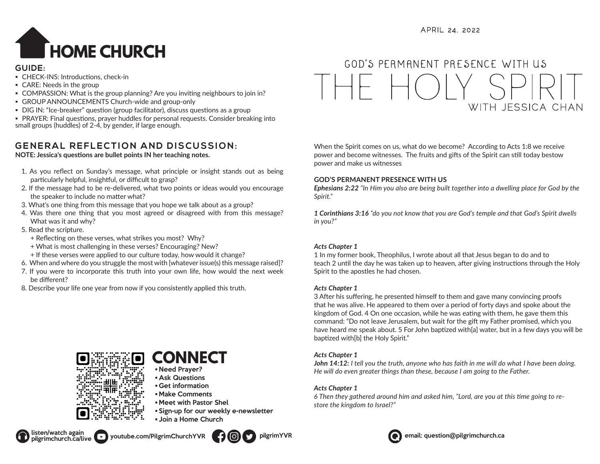

### **GUIDE:**

- CHECK-INS: Introductions, check-in
- CARE: Needs in the group
- COMPASSION: What is the group planning? Are you inviting neighbours to join in?
- GROUP ANNOUNCEMENTS Church-wide and group-only
- DIG IN: "Ice-breaker" question (group facilitator), discuss questions as a group
- PRAYER: Final questions, prayer huddles for personal requests. Consider breaking into small groups (huddles) of 2-4, by gender, if large enough.

## **GENERAL REFLECTION AND DISCUSSION:**

**NOTE: Jessica's questions are bullet points IN her teaching notes.**

- 1. As you reflect on Sunday's message, what principle or insight stands out as being particularly helpful, insightful, or difficult to grasp?
- 2. If the message had to be re-delivered, what two points or ideas would you encourage the speaker to include no matter what?
- 3. What's one thing from this message that you hope we talk about as a group?
- 4. Was there one thing that you most agreed or disagreed with from this message? What was it and why?
- 5. Read the scripture.
	- + Reflecting on these verses, what strikes you most? Why?
	- + What is most challenging in these verses? Encouraging? New?
	- + If these verses were applied to our culture today, how would it change?
- 6. When and where do you struggle the most with [whatever issue(s) this message raised]?
- 7. If you were to incorporate this truth into your own life, how would the next week be different?
- 8. Describe your life one year from now if you consistently applied this truth.



# **CONNECT**

- Need Prayer? • Ask Questions
- Get information
- Make Comments
- Meet with Pastor Shel
- Sign-up for our weekly e-newsletter
- Join a Home Church



When the Spirit comes on us, what do we become? According to Acts 1:8 we receive power and become witnesses. The fruits and gifts of the Spirit can still today bestow power and make us witnesses

## **GOD'S PERMANENT PRESENCE WITH US**

*Ephesians 2:22 "In Him you also are being built together into a dwelling place for God by the Spirit."* 

*1 Corinthians 3:16 "do you not know that you are God's temple and that God's Spirit dwells in you?"*

## *Acts Chapter 1*

1 In my former book, Theophilus, I wrote about all that Jesus began to do and to teach 2 until the day he was taken up to heaven, after giving instructions through the Holy Spirit to the apostles he had chosen.

## *Acts Chapter 1*

3 After his suffering, he presented himself to them and gave many convincing proofs that he was alive. He appeared to them over a period of forty days and spoke about the kingdom of God. 4 On one occasion, while he was eating with them, he gave them this command: "Do not leave Jerusalem, but wait for the gift my Father promised, which you have heard me speak about. 5 For John baptized with[a] water, but in a few days you will be baptized with[b] the Holy Spirit."

## *Acts Chapter 1*

*John 14:12: I tell you the truth, anyone who has faith in me will do what I have been doing. He will do even greater things than these, because I am going to the Father.*

## *Acts Chapter 1*

*6 Then they gathered around him and asked him, "Lord, are you at this time going to restore the kingdom to Israel?"* 





pilgrimchurch.ca/live